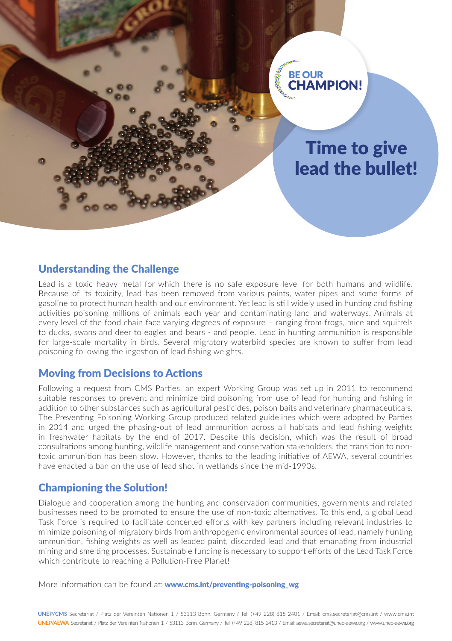

### Understanding the Challenge

Lead is a toxic heavy metal for which there is no safe exposure level for both humans and wildlife. Because of its toxicity, lead has been removed from various paints, water pipes and some forms of gasoline to protect human health and our environment. Yet lead is still widely used in hunting and fishing activities poisoning millions of animals each year and contaminating land and waterways. Animals at every level of the food chain face varying degrees of exposure – ranging from frogs, mice and squirrels to ducks, swans and deer to eagles and bears - and people. Lead in hunting ammunition is responsible for large-scale mortality in birds. Several migratory waterbird species are known to suffer from lead poisoning following the ingestion of lead fishing weights.

### Moving from Decisions to Actions

Following a request from CMS Parties, an expert Working Group was set up in 2011 to recommend suitable responses to prevent and minimize bird poisoning from use of lead for hunting and fishing in addition to other substances such as agricultural pesticides, poison baits and veterinary pharmaceuticals. The Preventing Poisoning Working Group produced related guidelines which were adopted by Parties in 2014 and urged the phasing-out of lead ammunition across all habitats and lead fishing weights in freshwater habitats by the end of 2017. Despite this decision, which was the result of broad consultations among hunting, wildlife management and conservation stakeholders, the transition to nontoxic ammunition has been slow. However, thanks to the leading initiative of AEWA, several countries have enacted a ban on the use of lead shot in wetlands since the mid-1990s.

## Championing the Solution!

Dialogue and cooperation among the hunting and conservation communities, governments and related businesses need to be promoted to ensure the use of non-toxic alternatives. To this end, a global Lead Task Force is required to facilitate concerted efforts with key partners including relevant industries to minimize poisoning of migratory birds from anthropogenic environmental sources of lead, namely hunting ammunition, fishing weights as well as leaded paint, discarded lead and that emanating from industrial mining and smelting processes. Sustainable funding is necessary to support efforts of the Lead Task Force which contribute to reaching a Pollution-Free Planet!

More information can be found at: www.cms.int/preventing-poisoning\_wg